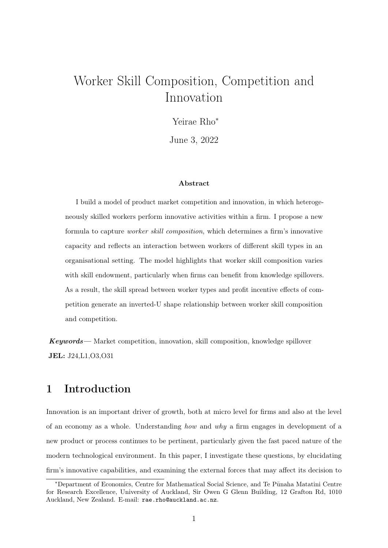# <span id="page-0-0"></span>Worker Skill Composition, Competition and Innovation

Yeirae Rho<sup>∗</sup>

June 3, 2022

#### Abstract

I build a model of product market competition and innovation, in which heterogeneously skilled workers perform innovative activities within a firm. I propose a new formula to capture worker skill composition, which determines a firm's innovative capacity and reflects an interaction between workers of different skill types in an organisational setting. The model highlights that worker skill composition varies with skill endowment, particularly when firms can benefit from knowledge spillovers. As a result, the skill spread between worker types and profit incentive effects of competition generate an inverted-U shape relationship between worker skill composition and competition.

Keywords— Market competition, innovation, skill composition, knowledge spillover JEL: J24,L1,O3,O31

## 1 Introduction

Innovation is an important driver of growth, both at micro level for firms and also at the level of an economy as a whole. Understanding how and why a firm engages in development of a new product or process continues to be pertinent, particularly given the fast paced nature of the modern technological environment. In this paper, I investigate these questions, by elucidating firm's innovative capabilities, and examining the external forces that may affect its decision to

<sup>\*</sup>Department of Economics, Centre for Mathematical Social Science, and Te Pūnaha Matatini Centre for Research Excellence, University of Auckland, Sir Owen G Glenn Building, 12 Grafton Rd, 1010 Auckland, New Zealand. E-mail: rae.rho@auckland.ac.nz.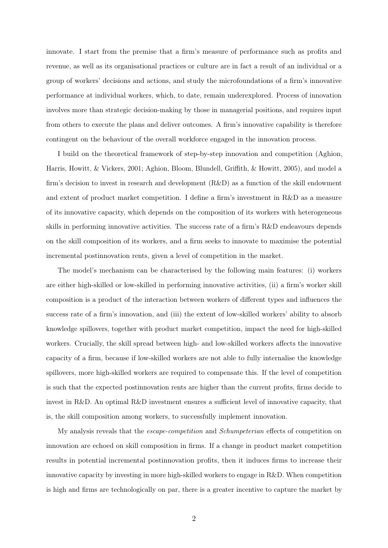innovate. I start from the premise that a firm's measure of performance such as profits and revenue, as well as its organisational practices or culture are in fact a result of an individual or a group of workers' decisions and actions, and study the microfoundations of a firm's innovative performance at individual workers, which, to date, remain underexplored. Process of innovation involves more than strategic decision-making by those in managerial positions, and requires input from others to execute the plans and deliver outcomes. A firm's innovative capability is therefore contingent on the behaviour of the overall workforce engaged in the innovation process.

I build on the theoretical framework of step-by-step innovation and competition (Aghion, Harris, Howitt, & Vickers, [2001;](#page-18-0) Aghion, Bloom, Blundell, Griffith, & Howitt, [2005\)](#page-18-1), and model a firm's decision to invest in research and development (R&D) as a function of the skill endowment and extent of product market competition. I define a firm's investment in R&D as a measure of its innovative capacity, which depends on the composition of its workers with heterogeneous skills in performing innovative activities. The success rate of a firm's R&D endeavours depends on the skill composition of its workers, and a firm seeks to innovate to maximise the potential incremental postinnovation rents, given a level of competition in the market.

The model's mechanism can be characterised by the following main features: (i) workers are either high-skilled or low-skilled in performing innovative activities, (ii) a firm's worker skill composition is a product of the interaction between workers of different types and influences the success rate of a firm's innovation, and (iii) the extent of low-skilled workers' ability to absorb knowledge spillovers, together with product market competition, impact the need for high-skilled workers. Crucially, the skill spread between high- and low-skilled workers affects the innovative capacity of a firm, because if low-skilled workers are not able to fully internalise the knowledge spillovers, more high-skilled workers are required to compensate this. If the level of competition is such that the expected postinnovation rents are higher than the current profits, firms decide to invest in R&D. An optimal R&D investment ensures a sufficient level of innovative capacity, that is, the skill composition among workers, to successfully implement innovation.

My analysis reveals that the escape-competition and Schumpeterian effects of competition on innovation are echoed on skill composition in firms. If a change in product market competition results in potential incremental postinnovation profits, then it induces firms to increase their innovative capacity by investing in more high-skilled workers to engage in R&D. When competition is high and firms are technologically on par, there is a greater incentive to capture the market by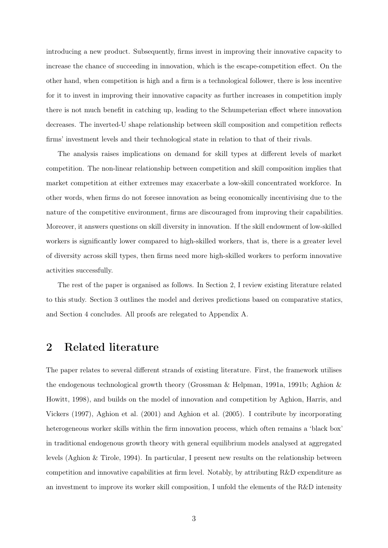introducing a new product. Subsequently, firms invest in improving their innovative capacity to increase the chance of succeeding in innovation, which is the escape-competition effect. On the other hand, when competition is high and a firm is a technological follower, there is less incentive for it to invest in improving their innovative capacity as further increases in competition imply there is not much benefit in catching up, leading to the Schumpeterian effect where innovation decreases. The inverted-U shape relationship between skill composition and competition reflects firms' investment levels and their technological state in relation to that of their rivals.

The analysis raises implications on demand for skill types at different levels of market competition. The non-linear relationship between competition and skill composition implies that market competition at either extremes may exacerbate a low-skill concentrated workforce. In other words, when firms do not foresee innovation as being economically incentivising due to the nature of the competitive environment, firms are discouraged from improving their capabilities. Moreover, it answers questions on skill diversity in innovation. If the skill endowment of low-skilled workers is significantly lower compared to high-skilled workers, that is, there is a greater level of diversity across skill types, then firms need more high-skilled workers to perform innovative activities successfully.

The rest of the paper is organised as follows. In Section 2, I review existing literature related to this study. Section 3 outlines the model and derives predictions based on comparative statics, and Section 4 concludes. All proofs are relegated to Appendix A.

## 2 Related literature

The paper relates to several different strands of existing literature. First, the framework utilises the endogenous technological growth theory (Grossman & Helpman, [1991a,](#page-18-2) [1991b;](#page-18-3) Aghion & Howitt, [1998\)](#page-18-4), and builds on the model of innovation and competition by Aghion, Harris, and Vickers [\(1997\)](#page-18-5), Aghion et al. [\(2001\)](#page-18-0) and Aghion et al. [\(2005\)](#page-18-1). I contribute by incorporating heterogeneous worker skills within the firm innovation process, which often remains a 'black box' in traditional endogenous growth theory with general equilibrium models analysed at aggregated levels (Aghion & Tirole, [1994\)](#page-18-6). In particular, I present new results on the relationship between competition and innovative capabilities at firm level. Notably, by attributing R&D expenditure as an investment to improve its worker skill composition, I unfold the elements of the R&D intensity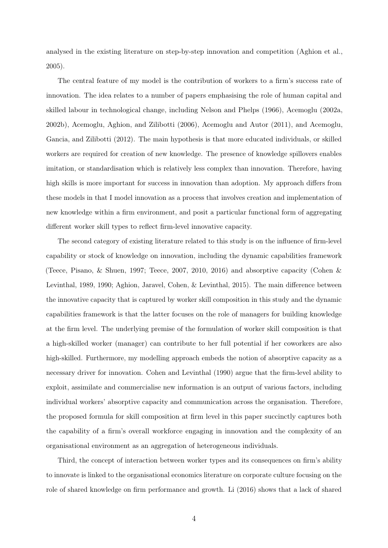analysed in the existing literature on step-by-step innovation and competition (Aghion et al., [2005\)](#page-18-1).

The central feature of my model is the contribution of workers to a firm's success rate of innovation. The idea relates to a number of papers emphasising the role of human capital and skilled labour in technological change, including Nelson and Phelps [\(1966\)](#page-19-0), Acemoglu [\(2002a,](#page-18-7) [2002b\)](#page-18-8), Acemoglu, Aghion, and Zilibotti [\(2006\)](#page-18-9), Acemoglu and Autor [\(2011\)](#page-18-10), and Acemoglu, Gancia, and Zilibotti [\(2012\)](#page-18-11). The main hypothesis is that more educated individuals, or skilled workers are required for creation of new knowledge. The presence of knowledge spillovers enables imitation, or standardisation which is relatively less complex than innovation. Therefore, having high skills is more important for success in innovation than adoption. My approach differs from these models in that I model innovation as a process that involves creation and implementation of new knowledge within a firm environment, and posit a particular functional form of aggregating different worker skill types to reflect firm-level innovative capacity.

The second category of existing literature related to this study is on the influence of firm-level capability or stock of knowledge on innovation, including the dynamic capabilities framework (Teece, Pisano, & Shuen, [1997;](#page-19-1) Teece, [2007,](#page-19-2) [2010,](#page-19-3) [2016\)](#page-19-4) and absorptive capacity (Cohen & Levinthal, [1989,](#page-18-12) [1990;](#page-18-13) Aghion, Jaravel, Cohen, & Levinthal, [2015\)](#page-18-14). The main difference between the innovative capacity that is captured by worker skill composition in this study and the dynamic capabilities framework is that the latter focuses on the role of managers for building knowledge at the firm level. The underlying premise of the formulation of worker skill composition is that a high-skilled worker (manager) can contribute to her full potential if her coworkers are also high-skilled. Furthermore, my modelling approach embeds the notion of absorptive capacity as a necessary driver for innovation. Cohen and Levinthal [\(1990\)](#page-18-13) argue that the firm-level ability to exploit, assimilate and commercialise new information is an output of various factors, including individual workers' absorptive capacity and communication across the organisation. Therefore, the proposed formula for skill composition at firm level in this paper succinctly captures both the capability of a firm's overall workforce engaging in innovation and the complexity of an organisational environment as an aggregation of heterogeneous individuals.

Third, the concept of interaction between worker types and its consequences on firm's ability to innovate is linked to the organisational economics literature on corporate culture focusing on the role of shared knowledge on firm performance and growth. Li [\(2016\)](#page-18-15) shows that a lack of shared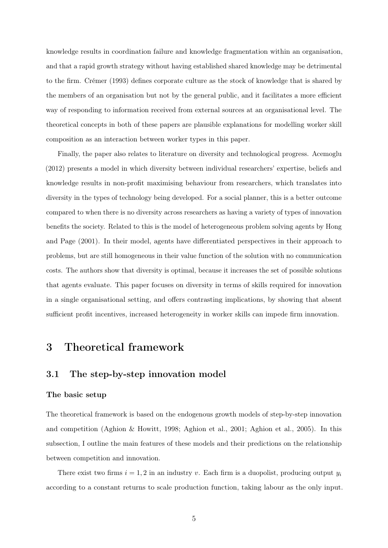knowledge results in coordination failure and knowledge fragmentation within an organisation, and that a rapid growth strategy without having established shared knowledge may be detrimental to the firm. Crémer [\(1993\)](#page-18-16) defines corporate culture as the stock of knowledge that is shared by the members of an organisation but not by the general public, and it facilitates a more efficient way of responding to information received from external sources at an organisational level. The theoretical concepts in both of these papers are plausible explanations for modelling worker skill composition as an interaction between worker types in this paper.

Finally, the paper also relates to literature on diversity and technological progress. Acemoglu [\(2012\)](#page-18-17) presents a model in which diversity between individual researchers' expertise, beliefs and knowledge results in non-profit maximising behaviour from researchers, which translates into diversity in the types of technology being developed. For a social planner, this is a better outcome compared to when there is no diversity across researchers as having a variety of types of innovation benefits the society. Related to this is the model of heterogeneous problem solving agents by Hong and Page [\(2001\)](#page-18-18). In their model, agents have differentiated perspectives in their approach to problems, but are still homogeneous in their value function of the solution with no communication costs. The authors show that diversity is optimal, because it increases the set of possible solutions that agents evaluate. This paper focuses on diversity in terms of skills required for innovation in a single organisational setting, and offers contrasting implications, by showing that absent sufficient profit incentives, increased heterogeneity in worker skills can impede firm innovation.

## 3 Theoretical framework

### 3.1 The step-by-step innovation model

#### The basic setup

The theoretical framework is based on the endogenous growth models of step-by-step innovation and competition (Aghion & Howitt, [1998;](#page-18-4) Aghion et al., [2001;](#page-18-0) Aghion et al., [2005\)](#page-18-1). In this subsection, I outline the main features of these models and their predictions on the relationship between competition and innovation.

There exist two firms  $i = 1, 2$  in an industry v. Each firm is a duopolist, producing output  $y_i$ according to a constant returns to scale production function, taking labour as the only input.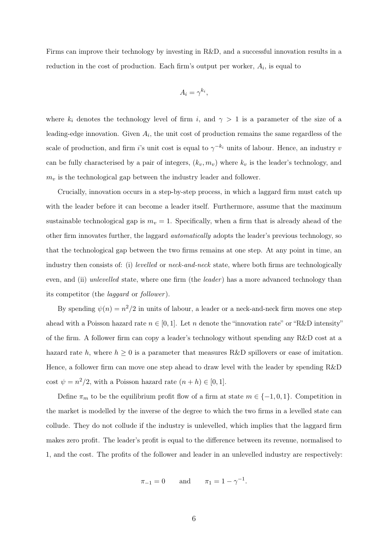Firms can improve their technology by investing in R&D, and a successful innovation results in a reduction in the cost of production. Each firm's output per worker,  $A_i$ , is equal to

$$
A_i = \gamma^{k_i},
$$

where  $k_i$  denotes the technology level of firm i, and  $\gamma > 1$  is a parameter of the size of a leading-edge innovation. Given  $A_i$ , the unit cost of production remains the same regardless of the scale of production, and firm i's unit cost is equal to  $\gamma^{-k_i}$  units of labour. Hence, an industry v can be fully characterised by a pair of integers,  $(k_v, m_v)$  where  $k_v$  is the leader's technology, and  $m<sub>v</sub>$  is the technological gap between the industry leader and follower.

Crucially, innovation occurs in a step-by-step process, in which a laggard firm must catch up with the leader before it can become a leader itself. Furthermore, assume that the maximum sustainable technological gap is  $m_v = 1$ . Specifically, when a firm that is already ahead of the other firm innovates further, the laggard automatically adopts the leader's previous technology, so that the technological gap between the two firms remains at one step. At any point in time, an industry then consists of: (i) *levelled* or *neck-and-neck* state, where both firms are technologically even, and (ii) unlevelled state, where one firm (the leader) has a more advanced technology than its competitor (the *laggard* or *follower*).

By spending  $\psi(n) = n^2/2$  in units of labour, a leader or a neck-and-neck firm moves one step ahead with a Poisson hazard rate  $n \in [0, 1]$ . Let n denote the "innovation rate" or "R&D intensity" of the firm. A follower firm can copy a leader's technology without spending any R&D cost at a hazard rate h, where  $h \geq 0$  is a parameter that measures R&D spillovers or ease of imitation. Hence, a follower firm can move one step ahead to draw level with the leader by spending R&D cost  $\psi = n^2/2$ , with a Poisson hazard rate  $(n+h) \in [0,1]$ .

Define  $\pi_m$  to be the equilibrium profit flow of a firm at state  $m \in \{-1,0,1\}$ . Competition in the market is modelled by the inverse of the degree to which the two firms in a levelled state can collude. They do not collude if the industry is unlevelled, which implies that the laggard firm makes zero profit. The leader's profit is equal to the difference between its revenue, normalised to 1, and the cost. The profits of the follower and leader in an unlevelled industry are respectively:

$$
\pi_{-1} = 0
$$
 and  $\pi_1 = 1 - \gamma^{-1}$ .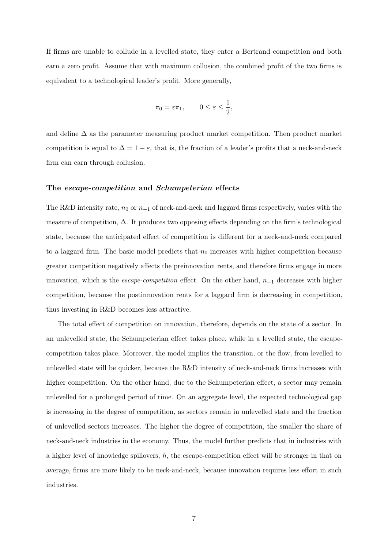If firms are unable to collude in a levelled state, they enter a Bertrand competition and both earn a zero profit. Assume that with maximum collusion, the combined profit of the two firms is equivalent to a technological leader's profit. More generally,

$$
\pi_0 = \varepsilon \pi_1, \qquad 0 \le \varepsilon \le \frac{1}{2},
$$

and define  $\Delta$  as the parameter measuring product market competition. Then product market competition is equal to  $\Delta = 1 - \varepsilon$ , that is, the fraction of a leader's profits that a neck-and-neck firm can earn through collusion.

#### The escape-competition and Schumpeterian effects

The R&D intensity rate,  $n_0$  or  $n_{-1}$  of neck-and-neck and laggard firms respectively, varies with the measure of competition,  $\Delta$ . It produces two opposing effects depending on the firm's technological state, because the anticipated effect of competition is different for a neck-and-neck compared to a laggard firm. The basic model predicts that  $n_0$  increases with higher competition because greater competition negatively affects the preinnovation rents, and therefore firms engage in more innovation, which is the *escape-competition* effect. On the other hand,  $n_{-1}$  decreases with higher competition, because the postinnovation rents for a laggard firm is decreasing in competition, thus investing in R&D becomes less attractive.

The total effect of competition on innovation, therefore, depends on the state of a sector. In an unlevelled state, the Schumpeterian effect takes place, while in a levelled state, the escapecompetition takes place. Moreover, the model implies the transition, or the flow, from levelled to unlevelled state will be quicker, because the R&D intensity of neck-and-neck firms increases with higher competition. On the other hand, due to the Schumpeterian effect, a sector may remain unlevelled for a prolonged period of time. On an aggregate level, the expected technological gap is increasing in the degree of competition, as sectors remain in unlevelled state and the fraction of unlevelled sectors increases. The higher the degree of competition, the smaller the share of neck-and-neck industries in the economy. Thus, the model further predicts that in industries with a higher level of knowledge spillovers, h, the escape-competition effect will be stronger in that on average, firms are more likely to be neck-and-neck, because innovation requires less effort in such industries.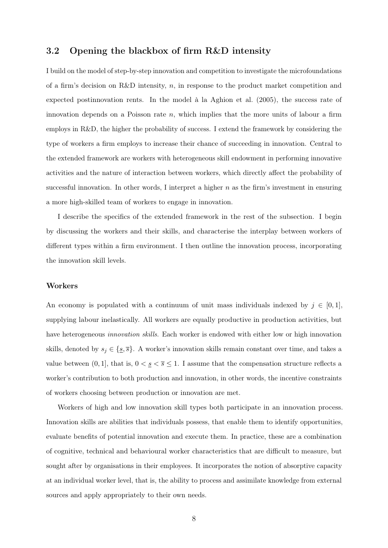### 3.2 Opening the blackbox of firm R&D intensity

I build on the model of step-by-step innovation and competition to investigate the microfoundations of a firm's decision on R&D intensity, n, in response to the product market competition and expected postinnovation rents. In the model à la Aghion et al. [\(2005\)](#page-18-1), the success rate of innovation depends on a Poisson rate  $n$ , which implies that the more units of labour a firm employs in R&D, the higher the probability of success. I extend the framework by considering the type of workers a firm employs to increase their chance of succeeding in innovation. Central to the extended framework are workers with heterogeneous skill endowment in performing innovative activities and the nature of interaction between workers, which directly affect the probability of successful innovation. In other words, I interpret a higher  $n$  as the firm's investment in ensuring a more high-skilled team of workers to engage in innovation.

I describe the specifics of the extended framework in the rest of the subsection. I begin by discussing the workers and their skills, and characterise the interplay between workers of different types within a firm environment. I then outline the innovation process, incorporating the innovation skill levels.

#### Workers

An economy is populated with a continuum of unit mass individuals indexed by  $j \in [0,1]$ , supplying labour inelastically. All workers are equally productive in production activities, but have heterogeneous *innovation skills*. Each worker is endowed with either low or high innovation skills, denoted by  $s_j \in \{\underline{s}, \overline{s}\}\.$  A worker's innovation skills remain constant over time, and takes a value between  $(0, 1]$ , that is,  $0 < \underline{s} < \overline{s} \leq 1$ . I assume that the compensation structure reflects a worker's contribution to both production and innovation, in other words, the incentive constraints of workers choosing between production or innovation are met.

Workers of high and low innovation skill types both participate in an innovation process. Innovation skills are abilities that individuals possess, that enable them to identify opportunities, evaluate benefits of potential innovation and execute them. In practice, these are a combination of cognitive, technical and behavioural worker characteristics that are difficult to measure, but sought after by organisations in their employees. It incorporates the notion of absorptive capacity at an individual worker level, that is, the ability to process and assimilate knowledge from external sources and apply appropriately to their own needs.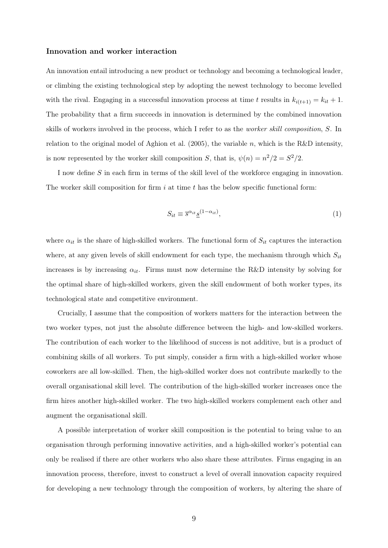#### Innovation and worker interaction

An innovation entail introducing a new product or technology and becoming a technological leader, or climbing the existing technological step by adopting the newest technology to become levelled with the rival. Engaging in a successful innovation process at time t results in  $k_{i(t+1)} = k_{it} + 1$ . The probability that a firm succeeds in innovation is determined by the combined innovation skills of workers involved in the process, which I refer to as the worker skill composition, S. In relation to the original model of Aghion et al. [\(2005\)](#page-18-1), the variable n, which is the R&D intensity, is now represented by the worker skill composition S, that is,  $\psi(n) = n^2/2 = S^2/2$ .

I now define S in each firm in terms of the skill level of the workforce engaging in innovation. The worker skill composition for firm  $i$  at time  $t$  has the below specific functional form:

$$
S_{it} \equiv \overline{s}^{\alpha_{it}} \underline{s}^{(1-\alpha_{it})},\tag{1}
$$

where  $\alpha_{it}$  is the share of high-skilled workers. The functional form of  $S_{it}$  captures the interaction where, at any given levels of skill endowment for each type, the mechanism through which  $S_{it}$ increases is by increasing  $\alpha_{it}$ . Firms must now determine the R&D intensity by solving for the optimal share of high-skilled workers, given the skill endowment of both worker types, its technological state and competitive environment.

Crucially, I assume that the composition of workers matters for the interaction between the two worker types, not just the absolute difference between the high- and low-skilled workers. The contribution of each worker to the likelihood of success is not additive, but is a product of combining skills of all workers. To put simply, consider a firm with a high-skilled worker whose coworkers are all low-skilled. Then, the high-skilled worker does not contribute markedly to the overall organisational skill level. The contribution of the high-skilled worker increases once the firm hires another high-skilled worker. The two high-skilled workers complement each other and augment the organisational skill.

A possible interpretation of worker skill composition is the potential to bring value to an organisation through performing innovative activities, and a high-skilled worker's potential can only be realised if there are other workers who also share these attributes. Firms engaging in an innovation process, therefore, invest to construct a level of overall innovation capacity required for developing a new technology through the composition of workers, by altering the share of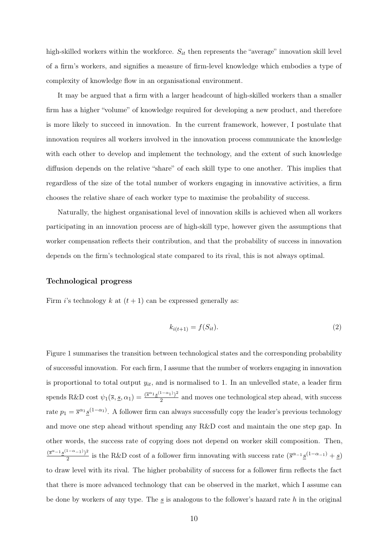high-skilled workers within the workforce.  $S_{it}$  then represents the "average" innovation skill level of a firm's workers, and signifies a measure of firm-level knowledge which embodies a type of complexity of knowledge flow in an organisational environment.

It may be argued that a firm with a larger headcount of high-skilled workers than a smaller firm has a higher "volume" of knowledge required for developing a new product, and therefore is more likely to succeed in innovation. In the current framework, however, I postulate that innovation requires all workers involved in the innovation process communicate the knowledge with each other to develop and implement the technology, and the extent of such knowledge diffusion depends on the relative "share" of each skill type to one another. This implies that regardless of the size of the total number of workers engaging in innovative activities, a firm chooses the relative share of each worker type to maximise the probability of success.

Naturally, the highest organisational level of innovation skills is achieved when all workers participating in an innovation process are of high-skill type, however given the assumptions that worker compensation reflects their contribution, and that the probability of success in innovation depends on the firm's technological state compared to its rival, this is not always optimal.

#### Technological progress

Firm *i*'s technology k at  $(t + 1)$  can be expressed generally as:

<span id="page-9-0"></span>
$$
k_{i(t+1)} = f(S_{it}).
$$
\n(2)

Figure [1](#page-10-0) summarises the transition between technological states and the corresponding probability of successful innovation. For each firm, I assume that the number of workers engaging in innovation is proportional to total output  $y_{it}$ , and is normalised to 1. In an unlevelled state, a leader firm spends R&D cost  $\psi_1(\overline{s}, \underline{s}, \alpha_1) = \frac{(\overline{s}^{\alpha_1} \underline{s}^{(1-\alpha_1)})^2}{2}$  $\frac{1}{2}$  and moves one technological step ahead, with success rate  $p_1 = \bar{s}^{\alpha_1} \underline{s}^{(1-\alpha_1)}$ . A follower firm can always successfully copy the leader's previous technology and move one step ahead without spending any R&D cost and maintain the one step gap. In other words, the success rate of copying does not depend on worker skill composition. Then,  $(\bar{s}^{\alpha-1} \underline{s}^{(1-\alpha-1)})^2$  $\frac{1-\alpha-1}{2}$  is the R&D cost of a follower firm innovating with success rate  $(\bar{s}^{\alpha-1}\underline{s}^{(1-\alpha-1)}+\underline{s})$ to draw level with its rival. The higher probability of success for a follower firm reflects the fact that there is more advanced technology that can be observed in the market, which I assume can be done by workers of any type. The  $s$  is analogous to the follower's hazard rate h in the original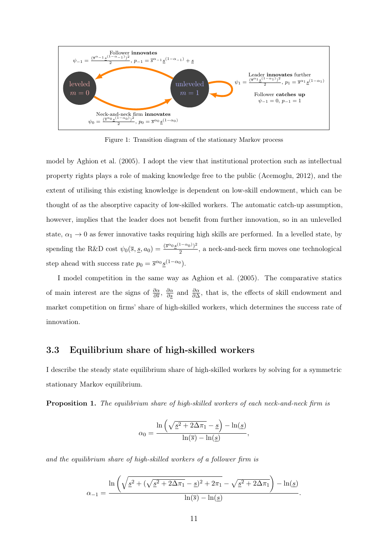<span id="page-10-0"></span>

Figure 1: Transition diagram of the stationary Markov process

model by Aghion et al. [\(2005\)](#page-18-1). I adopt the view that institutional protection such as intellectual property rights plays a role of making knowledge free to the public (Acemoglu, [2012\)](#page-18-17), and the extent of utilising this existing knowledge is dependent on low-skill endowment, which can be thought of as the absorptive capacity of low-skilled workers. The automatic catch-up assumption, however, implies that the leader does not benefit from further innovation, so in an unlevelled state,  $\alpha_1 \rightarrow 0$  as fewer innovative tasks requiring high skills are performed. In a levelled state, by spending the R&D cost  $\psi_0(\bar{s}, \underline{s}, a_0) = \frac{(\bar{s}^{\alpha_0} \underline{s}^{(1-\alpha_0)})^2}{2}$  $\frac{2}{2}$ , a neck-and-neck firm moves one technological step ahead with success rate  $p_0 = \overline{s}^{\alpha_0} \underline{s}^{(1-\alpha_0)}$ .

I model competition in the same way as Aghion et al. [\(2005\)](#page-18-1). The comparative statics of main interest are the signs of  $\frac{\partial \alpha}{\partial s}$ ,  $\frac{\partial \alpha}{\partial s}$  and  $\frac{\partial \alpha}{\partial \Delta}$ , that is, the effects of skill endowment and market competition on firms' share of high-skilled workers, which determines the success rate of innovation.

### 3.3 Equilibrium share of high-skilled workers

I describe the steady state equilibrium share of high-skilled workers by solving for a symmetric stationary Markov equilibrium.

<span id="page-10-1"></span>Proposition 1. The equilibrium share of high-skilled workers of each neck-and-neck firm is

$$
\alpha_0 = \frac{\ln\left(\sqrt{\underline{s}^2 + 2\Delta\pi_1} - \underline{s}\right) - \ln(\underline{s})}{\ln(\overline{s}) - \ln(\underline{s})},
$$

and the equilibrium share of high-skilled workers of a follower firm is

$$
\alpha_{-1} = \frac{\ln\left(\sqrt{\underline{s}^2 + (\sqrt{\underline{s}^2 + 2\Delta\pi_1} - \underline{s})^2 + 2\pi_1} - \sqrt{\underline{s}^2 + 2\Delta\pi_1}\right) - \ln(\underline{s})}{\ln(\overline{s}) - \ln(\underline{s})}.
$$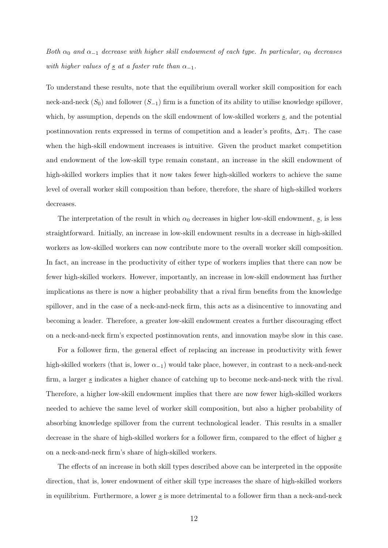Both  $\alpha_0$  and  $\alpha_{-1}$  decrease with higher skill endowment of each type. In particular,  $\alpha_0$  decreases with higher values of  $\underline{s}$  at a faster rate than  $\alpha_{-1}$ .

To understand these results, note that the equilibrium overall worker skill composition for each neck-and-neck  $(S_0)$  and follower  $(S_{-1})$  firm is a function of its ability to utilise knowledge spillover, which, by assumption, depends on the skill endowment of low-skilled workers  $s$ , and the potential postinnovation rents expressed in terms of competition and a leader's profits,  $\Delta \pi_1$ . The case when the high-skill endowment increases is intuitive. Given the product market competition and endowment of the low-skill type remain constant, an increase in the skill endowment of high-skilled workers implies that it now takes fewer high-skilled workers to achieve the same level of overall worker skill composition than before, therefore, the share of high-skilled workers decreases.

The interpretation of the result in which  $\alpha_0$  decreases in higher low-skill endowment,  $s$ , is less straightforward. Initially, an increase in low-skill endowment results in a decrease in high-skilled workers as low-skilled workers can now contribute more to the overall worker skill composition. In fact, an increase in the productivity of either type of workers implies that there can now be fewer high-skilled workers. However, importantly, an increase in low-skill endowment has further implications as there is now a higher probability that a rival firm benefits from the knowledge spillover, and in the case of a neck-and-neck firm, this acts as a disincentive to innovating and becoming a leader. Therefore, a greater low-skill endowment creates a further discouraging effect on a neck-and-neck firm's expected postinnovation rents, and innovation maybe slow in this case.

For a follower firm, the general effect of replacing an increase in productivity with fewer high-skilled workers (that is, lower  $\alpha_{-1}$ ) would take place, however, in contrast to a neck-and-neck firm, a larger  $s$  indicates a higher chance of catching up to become neck-and-neck with the rival. Therefore, a higher low-skill endowment implies that there are now fewer high-skilled workers needed to achieve the same level of worker skill composition, but also a higher probability of absorbing knowledge spillover from the current technological leader. This results in a smaller decrease in the share of high-skilled workers for a follower firm, compared to the effect of higher s on a neck-and-neck firm's share of high-skilled workers.

The effects of an increase in both skill types described above can be interpreted in the opposite direction, that is, lower endowment of either skill type increases the share of high-skilled workers in equilibrium. Furthermore, a lower  $s$  is more detrimental to a follower firm than a neck-and-neck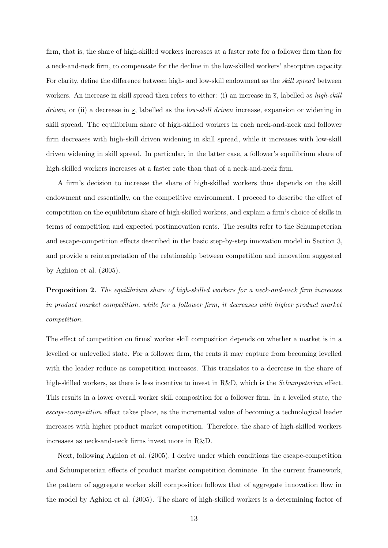firm, that is, the share of high-skilled workers increases at a faster rate for a follower firm than for a neck-and-neck firm, to compensate for the decline in the low-skilled workers' absorptive capacity. For clarity, define the difference between high- and low-skill endowment as the skill spread between workers. An increase in skill spread then refers to either: (i) an increase in  $\bar{s}$ , labelled as high-skill *driven*, or (ii) a decrease in  $\mathfrak{s}$ , labelled as the *low-skill driven* increase, expansion or widening in skill spread. The equilibrium share of high-skilled workers in each neck-and-neck and follower firm decreases with high-skill driven widening in skill spread, while it increases with low-skill driven widening in skill spread. In particular, in the latter case, a follower's equilibrium share of high-skilled workers increases at a faster rate than that of a neck-and-neck firm.

A firm's decision to increase the share of high-skilled workers thus depends on the skill endowment and essentially, on the competitive environment. I proceed to describe the effect of competition on the equilibrium share of high-skilled workers, and explain a firm's choice of skills in terms of competition and expected postinnovation rents. The results refer to the Schumpeterian and escape-competition effects described in the basic step-by-step innovation model in Section 3, and provide a reinterpretation of the relationship between competition and innovation suggested by Aghion et al. [\(2005\)](#page-18-1).

<span id="page-12-0"></span>**Proposition 2.** The equilibrium share of high-skilled workers for a neck-and-neck firm increases in product market competition, while for a follower firm, it decreases with higher product market competition.

The effect of competition on firms' worker skill composition depends on whether a market is in a levelled or unlevelled state. For a follower firm, the rents it may capture from becoming levelled with the leader reduce as competition increases. This translates to a decrease in the share of high-skilled workers, as there is less incentive to invest in R&D, which is the *Schumpeterian* effect. This results in a lower overall worker skill composition for a follower firm. In a levelled state, the escape-competition effect takes place, as the incremental value of becoming a technological leader increases with higher product market competition. Therefore, the share of high-skilled workers increases as neck-and-neck firms invest more in R&D.

Next, following Aghion et al. [\(2005\)](#page-18-1), I derive under which conditions the escape-competition and Schumpeterian effects of product market competition dominate. In the current framework, the pattern of aggregate worker skill composition follows that of aggregate innovation flow in the model by Aghion et al. [\(2005\)](#page-18-1). The share of high-skilled workers is a determining factor of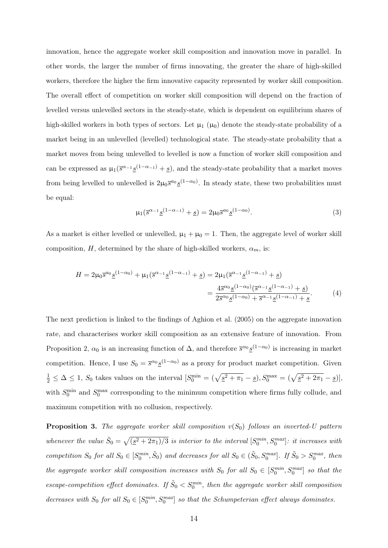innovation, hence the aggregate worker skill composition and innovation move in parallel. In other words, the larger the number of firms innovating, the greater the share of high-skilled workers, therefore the higher the firm innovative capacity represented by worker skill composition. The overall effect of competition on worker skill composition will depend on the fraction of levelled versus unlevelled sectors in the steady-state, which is dependent on equilibrium shares of high-skilled workers in both types of sectors. Let  $\mu_1$  ( $\mu_0$ ) denote the steady-state probability of a market being in an unlevelled (levelled) technological state. The steady-state probability that a market moves from being unlevelled to levelled is now a function of worker skill composition and can be expressed as  $\mu_1(\bar{s}^{\alpha-1} \underline{s}^{(1-\alpha-1)} + \underline{s})$ , and the steady-state probability that a market moves from being levelled to unlevelled is  $2\mu_0 \bar{s}^{a_0} \underline{s}^{(1-\alpha_0)}$ . In steady state, these two probabilities must be equal:

<span id="page-13-2"></span><span id="page-13-1"></span>
$$
\mu_1(\overline{s}^{\alpha_{-1}} \underline{s}^{(1-\alpha_{-1})} + \underline{s}) = 2\mu_0 \overline{s}^{a_0} \underline{s}^{(1-\alpha_0)}.
$$
\n(3)

As a market is either levelled or unlevelled,  $\mu_1 + \mu_0 = 1$ . Then, the aggregate level of worker skill composition, H, determined by the share of high-skilled workers,  $\alpha_m$ , is:

$$
H = 2\mu_0 \overline{s}^{\alpha_0} \underline{s}^{(1-\alpha_0)} + \mu_1 (\overline{s}^{\alpha_{-1}} \underline{s}^{(1-\alpha_{-1})} + \underline{s}) = 2\mu_1 (\overline{s}^{\alpha_{-1}} \underline{s}^{(1-\alpha_{-1})} + \underline{s})
$$
  
= 
$$
\frac{4\overline{s}^{\alpha_0} \underline{s}^{(1-\alpha_0)} (\overline{s}^{\alpha_{-1}} \underline{s}^{(1-\alpha_{-1})} + \underline{s})}{2\overline{s}^{\alpha_0} \underline{s}^{(1-\alpha_0)} + \overline{s}^{\alpha_{-1}} \underline{s}^{(1-\alpha_{-1})} + \underline{s}}.
$$
(4)

The next prediction is linked to the findings of Aghion et al. [\(2005\)](#page-18-1) on the aggregate innovation rate, and characterises worker skill composition as an extensive feature of innovation. From Proposition [2,](#page-12-0)  $\alpha_0$  is an increasing function of  $\Delta$ , and therefore  $\bar{s}^{\alpha_0} \underline{s}^{(1-\alpha_0)}$  is increasing in market competition. Hence, I use  $S_0 = \bar{s}^{\alpha_0} \underline{s}^{(1-\alpha_0)}$  as a proxy for product market competition. Given  $\frac{1}{2} \leq \Delta \leq 1$ ,  $S_0$  takes values on the interval  $[S_0^{\min} = (\sqrt{\underline{s}^2 + \pi_1} - \underline{s}), S_0^{\max} = (\sqrt{\underline{s}^2 + 2\pi_1} - \underline{s})],$ with  $S_0^{\text{min}}$  and  $S_0^{\text{max}}$  corresponding to the minimum competition where firms fully collude, and maximum competition with no collusion, respectively.

<span id="page-13-0"></span>**Proposition 3.** The aggregate worker skill composition  $v(S_0)$  follows an inverted-U pattern whenever the value  $\tilde{S}_0 = \sqrt{(\underline{s}^2 + 2\pi_1)/3}$  is interior to the interval  $[S_0^{min}, S_0^{max}]$ : it increases with competition  $S_0$  for all  $S_0 \in [S_0^{min}, \tilde{S}_0)$  and decreases for all  $S_0 \in (\tilde{S}_0, S_0^{max}]$ . If  $\tilde{S}_0 > S_0^{max}$ , then the aggregate worker skill composition increases with  $S_0$  for all  $S_0 \in [S_0^{min}, S_0^{max}]$  so that the escape-competition effect dominates. If  $\tilde{S}_0 < S_0^{min}$ , then the aggregate worker skill composition decreases with  $S_0$  for all  $S_0 \in [S_0^{min}, S_0^{max}]$  so that the Schumpeterian effect always dominates.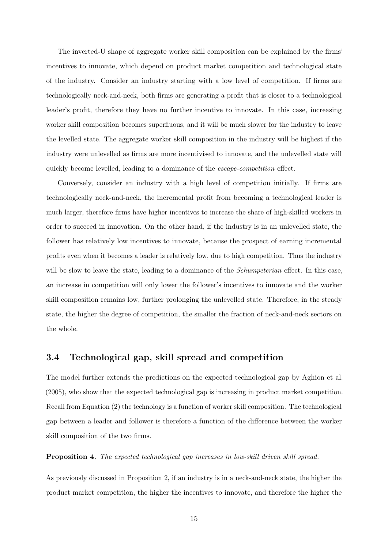The inverted-U shape of aggregate worker skill composition can be explained by the firms' incentives to innovate, which depend on product market competition and technological state of the industry. Consider an industry starting with a low level of competition. If firms are technologically neck-and-neck, both firms are generating a profit that is closer to a technological leader's profit, therefore they have no further incentive to innovate. In this case, increasing worker skill composition becomes superfluous, and it will be much slower for the industry to leave the levelled state. The aggregate worker skill composition in the industry will be highest if the industry were unlevelled as firms are more incentivised to innovate, and the unlevelled state will quickly become levelled, leading to a dominance of the *escape-competition* effect.

Conversely, consider an industry with a high level of competition initially. If firms are technologically neck-and-neck, the incremental profit from becoming a technological leader is much larger, therefore firms have higher incentives to increase the share of high-skilled workers in order to succeed in innovation. On the other hand, if the industry is in an unlevelled state, the follower has relatively low incentives to innovate, because the prospect of earning incremental profits even when it becomes a leader is relatively low, due to high competition. Thus the industry will be slow to leave the state, leading to a dominance of the *Schumpeterian* effect. In this case, an increase in competition will only lower the follower's incentives to innovate and the worker skill composition remains low, further prolonging the unlevelled state. Therefore, in the steady state, the higher the degree of competition, the smaller the fraction of neck-and-neck sectors on the whole.

### 3.4 Technological gap, skill spread and competition

The model further extends the predictions on the expected technological gap by Aghion et al. [\(2005\)](#page-18-1), who show that the expected technological gap is increasing in product market competition. Recall from Equation [\(2\)](#page-9-0) the technology is a function of worker skill composition. The technological gap between a leader and follower is therefore a function of the difference between the worker skill composition of the two firms.

#### <span id="page-14-0"></span>Proposition 4. The expected technological gap increases in low-skill driven skill spread.

As previously discussed in Proposition [2,](#page-12-0) if an industry is in a neck-and-neck state, the higher the product market competition, the higher the incentives to innovate, and therefore the higher the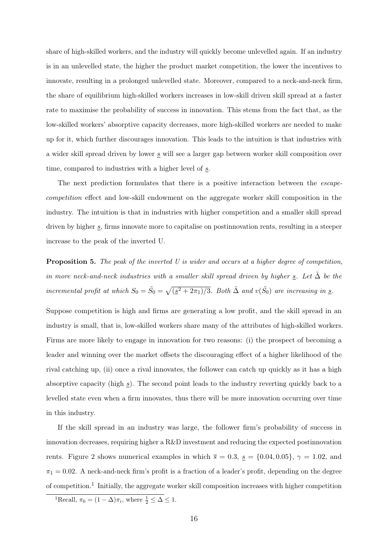share of high-skilled workers, and the industry will quickly become unlevelled again. If an industry is in an unlevelled state, the higher the product market competition, the lower the incentives to innovate, resulting in a prolonged unlevelled state. Moreover, compared to a neck-and-neck firm, the share of equilibrium high-skilled workers increases in low-skill driven skill spread at a faster rate to maximise the probability of success in innovation. This stems from the fact that, as the low-skilled workers' absorptive capacity decreases, more high-skilled workers are needed to make up for it, which further discourages innovation. This leads to the intuition is that industries with a wider skill spread driven by lower s will see a larger gap between worker skill composition over time, compared to industries with a higher level of s.

The next prediction formulates that there is a positive interaction between the *escape*competition effect and low-skill endowment on the aggregate worker skill composition in the industry. The intuition is that in industries with higher competition and a smaller skill spread driven by higher  $s$ , firms innovate more to capitalise on postinnovation rents, resulting in a steeper increase to the peak of the inverted U.

<span id="page-15-0"></span>Proposition 5. The peak of the inverted U is wider and occurs at a higher degree of competition, in more neck-and-neck industries with a smaller skill spread driven by higher  $\underline{s}$ . Let  $\Delta$  be the incremental profit at which  $S_0 = \tilde{S}_0 = \sqrt{(\underline{s}^2 + 2\pi_1)/3}$ . Both  $\tilde{\Delta}$  and  $v(\tilde{S}_0)$  are increasing in  $\underline{s}$ .

Suppose competition is high and firms are generating a low profit, and the skill spread in an industry is small, that is, low-skilled workers share many of the attributes of high-skilled workers. Firms are more likely to engage in innovation for two reasons: (i) the prospect of becoming a leader and winning over the market offsets the discouraging effect of a higher likelihood of the rival catching up, (ii) once a rival innovates, the follower can catch up quickly as it has a high absorptive capacity (high  $s$ ). The second point leads to the industry reverting quickly back to a levelled state even when a firm innovates, thus there will be more innovation occurring over time in this industry.

If the skill spread in an industry was large, the follower firm's probability of success in innovation decreases, requiring higher a R&D investment and reducing the expected postinnovation rents. Figure [2](#page-16-0) shows numerical examples in which  $\bar{s} = 0.3$ ,  $\underline{s} = \{0.04, 0.05\}$ ,  $\gamma = 1.02$ , and  $\pi_1 = 0.02$ . A neck-and-neck firm's profit is a fraction of a leader's profit, depending on the degree of competition.<sup>[1](#page-0-0)</sup> Initially, the aggregate worker skill composition increases with higher competition

<sup>&</sup>lt;sup>1</sup>Recall,  $\pi_0 = (1 - \Delta)\pi_i$ , where  $\frac{1}{2} \leq \Delta \leq 1$ .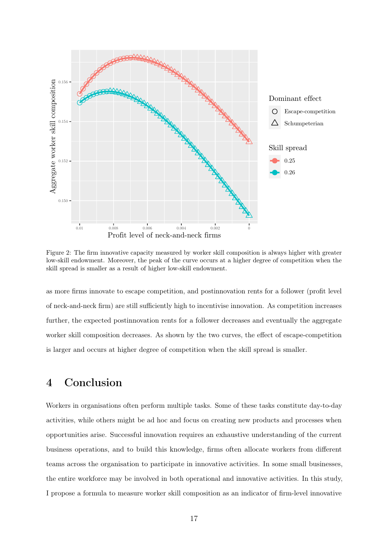<span id="page-16-0"></span>

Figure 2: The firm innovative capacity measured by worker skill composition is always higher with greater low-skill endowment. Moreover, the peak of the curve occurs at a higher degree of competition when the skill spread is smaller as a result of higher low-skill endowment.

as more firms innovate to escape competition, and postinnovation rents for a follower (profit level of neck-and-neck firm) are still sufficiently high to incentivise innovation. As competition increases further, the expected postinnovation rents for a follower decreases and eventually the aggregate worker skill composition decreases. As shown by the two curves, the effect of escape-competition is larger and occurs at higher degree of competition when the skill spread is smaller.

## 4 Conclusion

Workers in organisations often perform multiple tasks. Some of these tasks constitute day-to-day activities, while others might be ad hoc and focus on creating new products and processes when opportunities arise. Successful innovation requires an exhaustive understanding of the current business operations, and to build this knowledge, firms often allocate workers from different teams across the organisation to participate in innovative activities. In some small businesses, the entire workforce may be involved in both operational and innovative activities. In this study, I propose a formula to measure worker skill composition as an indicator of firm-level innovative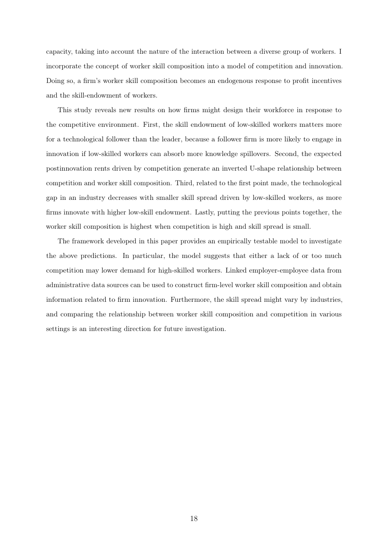capacity, taking into account the nature of the interaction between a diverse group of workers. I incorporate the concept of worker skill composition into a model of competition and innovation. Doing so, a firm's worker skill composition becomes an endogenous response to profit incentives and the skill-endowment of workers.

This study reveals new results on how firms might design their workforce in response to the competitive environment. First, the skill endowment of low-skilled workers matters more for a technological follower than the leader, because a follower firm is more likely to engage in innovation if low-skilled workers can absorb more knowledge spillovers. Second, the expected postinnovation rents driven by competition generate an inverted U-shape relationship between competition and worker skill composition. Third, related to the first point made, the technological gap in an industry decreases with smaller skill spread driven by low-skilled workers, as more firms innovate with higher low-skill endowment. Lastly, putting the previous points together, the worker skill composition is highest when competition is high and skill spread is small.

The framework developed in this paper provides an empirically testable model to investigate the above predictions. In particular, the model suggests that either a lack of or too much competition may lower demand for high-skilled workers. Linked employer-employee data from administrative data sources can be used to construct firm-level worker skill composition and obtain information related to firm innovation. Furthermore, the skill spread might vary by industries, and comparing the relationship between worker skill composition and competition in various settings is an interesting direction for future investigation.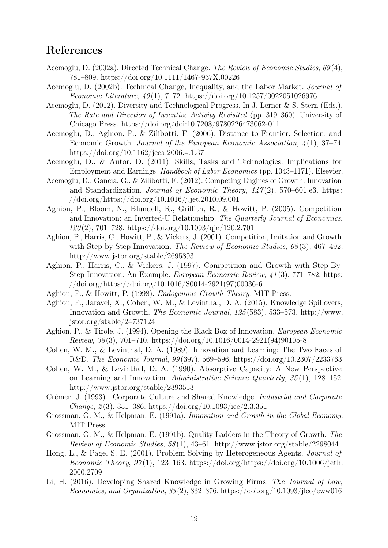## References

- <span id="page-18-7"></span>Acemoglu, D. (2002a). Directed Technical Change. The Review of Economic Studies, 69 (4), 781–809.<https://doi.org/10.1111/1467-937X.00226>
- <span id="page-18-8"></span>Acemoglu, D. (2002b). Technical Change, Inequality, and the Labor Market. Journal of Economic Literature,  $40(1)$ , 7-72.<https://doi.org/10.1257/0022051026976>
- <span id="page-18-17"></span>Acemoglu, D. (2012). Diversity and Technological Progress. In J. Lerner & S. Stern (Eds.), The Rate and Direction of Inventive Activity Revisited (pp. 319–360). University of Chicago Press.<https://doi.org/doi:10.7208/9780226473062-011>
- <span id="page-18-9"></span>Acemoglu, D., Aghion, P., & Zilibotti, F. (2006). Distance to Frontier, Selection, and Economic Growth. Journal of the European Economic Association,  $\lambda(1)$ , 37–74. <https://doi.org/10.1162/jeea.2006.4.1.37>
- <span id="page-18-10"></span>Acemoglu, D., & Autor, D. (2011). Skills, Tasks and Technologies: Implications for Employment and Earnings. Handbook of Labor Economics (pp. 1043–1171). Elsevier.
- <span id="page-18-11"></span>Acemoglu, D., Gancia, G., & Zilibotti, F. (2012). Competing Engines of Growth: Innovation and Standardization. Journal of Economic Theory,  $147(2)$ , 570–601.e3. [https:](https://doi.org/https://doi.org/10.1016/j.jet.2010.09.001) [//doi.org/https://doi.org/10.1016/j.jet.2010.09.001](https://doi.org/https://doi.org/10.1016/j.jet.2010.09.001)
- <span id="page-18-1"></span>Aghion, P., Bloom, N., Blundell, R., Griffith, R., & Howitt, P. (2005). Competition and Innovation: an Inverted-U Relationship. The Quarterly Journal of Economics,  $120(2)$ , 701–728.<https://doi.org/10.1093/qje/120.2.701>
- <span id="page-18-0"></span>Aghion, P., Harris, C., Howitt, P., & Vickers, J. (2001). Competition, Imitation and Growth with Step-by-Step Innovation. The Review of Economic Studies, 68(3), 467-492. <http://www.jstor.org/stable/2695893>
- <span id="page-18-5"></span>Aghion, P., Harris, C., & Vickers, J. (1997). Competition and Growth with Step-By-Step Innovation: An Example. European Economic Review, 41 (3), 771–782. [https:](https://doi.org/https://doi.org/10.1016/S0014-2921(97)00036-6) [//doi.org/https://doi.org/10.1016/S0014-2921\(97\)00036-6](https://doi.org/https://doi.org/10.1016/S0014-2921(97)00036-6)
- <span id="page-18-4"></span>Aghion, P., & Howitt, P. (1998). Endogenous Growth Theory. MIT Press.
- <span id="page-18-14"></span>Aghion, P., Jaravel, X., Cohen, W. M., & Levinthal, D. A. (2015). Knowledge Spillovers, Innovation and Growth. The Economic Journal, 125 (583), 533–573. [http://www.](http://www.jstor.org/stable/24737124) [jstor.org/stable/24737124](http://www.jstor.org/stable/24737124)
- <span id="page-18-6"></span>Aghion, P., & Tirole, J. (1994). Opening the Black Box of Innovation. European Economic Review,  $38(3)$ ,  $701-710$ . [https://doi.org/10.1016/0014-2921\(94\)90105-8](https://doi.org/10.1016/0014-2921(94)90105-8)
- <span id="page-18-12"></span>Cohen, W. M., & Levinthal, D. A. (1989). Innovation and Learning: The Two Faces of R&D. The Economic Journal, 99 (397), 569–596.<https://doi.org/10.2307/2233763>
- <span id="page-18-13"></span>Cohen, W. M., & Levinthal, D. A. (1990). Absorptive Capacity: A New Perspective on Learning and Innovation. Administrative Science Quarterly, 35 (1), 128–152. <http://www.jstor.org/stable/2393553>
- <span id="page-18-16"></span>Crémer, J. (1993). Corporate Culture and Shared Knowledge. Industrial and Corporate  $Change, \, 2(3), \, 351-386. \, \mathrm{https://doi.org/10.1093/ice/2.3.351}$
- <span id="page-18-2"></span>Grossman, G. M., & Helpman, E. (1991a). Innovation and Growth in the Global Economy. MIT Press.
- <span id="page-18-3"></span>Grossman, G. M., & Helpman, E. (1991b). Quality Ladders in the Theory of Growth. The Review of Economic Studies,  $58(1)$ ,  $43-61$ .<http://www.jstor.org/stable/2298044>
- <span id="page-18-18"></span>Hong, L., & Page, S. E. (2001). Problem Solving by Heterogeneous Agents. Journal of Economic Theory, 97(1), 123–163. [https://doi.org/https://doi.org/10.1006/jeth.](https://doi.org/https://doi.org/10.1006/jeth.2000.2709) [2000.2709](https://doi.org/https://doi.org/10.1006/jeth.2000.2709)
- <span id="page-18-15"></span>Li, H. (2016). Developing Shared Knowledge in Growing Firms. The Journal of Law, Economics, and Organization,  $33(2)$ ,  $332-376$ .<https://doi.org/10.1093/jleo/eww016>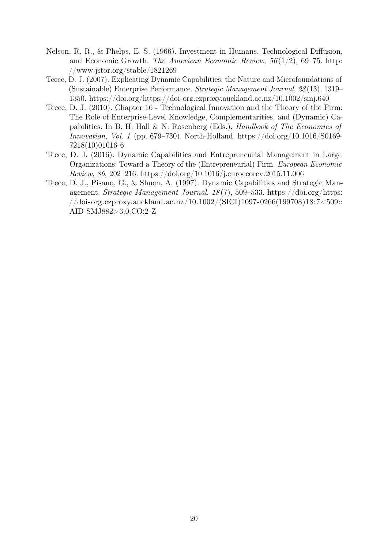- <span id="page-19-0"></span>Nelson, R. R., & Phelps, E. S. (1966). Investment in Humans, Technological Diffusion, and Economic Growth. The American Economic Review,  $56(1/2)$ , 69–75. [http:](http://www.jstor.org/stable/1821269) [//www.jstor.org/stable/1821269](http://www.jstor.org/stable/1821269)
- <span id="page-19-2"></span>Teece, D. J. (2007). Explicating Dynamic Capabilities: the Nature and Microfoundations of (Sustainable) Enterprise Performance. Strategic Management Journal, 28 (13), 1319– 1350.<https://doi.org/https://doi-org.ezproxy.auckland.ac.nz/10.1002/smj.640>
- <span id="page-19-3"></span>Teece, D. J. (2010). Chapter 16 - Technological Innovation and the Theory of the Firm: The Role of Enterprise-Level Knowledge, Complementarities, and (Dynamic) Capabilities. In B. H. Hall & N. Rosenberg (Eds.), Handbook of The Economics of Innovation, Vol. 1 (pp. 679–730). North-Holland. [https://doi.org/10.1016/S0169-](https://doi.org/10.1016/S0169-7218(10)01016-6) [7218\(10\)01016-6](https://doi.org/10.1016/S0169-7218(10)01016-6)
- <span id="page-19-4"></span>Teece, D. J. (2016). Dynamic Capabilities and Entrepreneurial Management in Large Organizations: Toward a Theory of the (Entrepreneurial) Firm. European Economic Review, 86, 202–216.<https://doi.org/10.1016/j.euroecorev.2015.11.006>
- <span id="page-19-1"></span>Teece, D. J., Pisano, G., & Shuen, A. (1997). Dynamic Capabilities and Strategic Management. Strategic Management Journal, 18 (7), 509–533. [https://doi.org/https:](https://doi.org/https://doi-org.ezproxy.auckland.ac.nz/10.1002/(SICI)1097-0266(199708)18:7<509::AID-SMJ882>3.0.CO;2-Z) [//doi-org.ezproxy.auckland.ac.nz/10.1002/\(SICI\)1097-0266\(199708\)18:7<509::](https://doi.org/https://doi-org.ezproxy.auckland.ac.nz/10.1002/(SICI)1097-0266(199708)18:7<509::AID-SMJ882>3.0.CO;2-Z) [AID-SMJ882>3.0.CO;2-Z](https://doi.org/https://doi-org.ezproxy.auckland.ac.nz/10.1002/(SICI)1097-0266(199708)18:7<509::AID-SMJ882>3.0.CO;2-Z)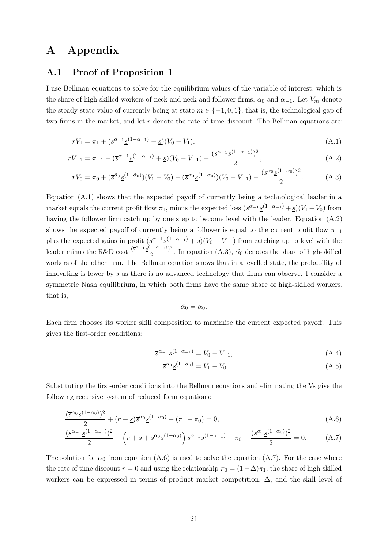## A Appendix

#### A.1 Proof of Proposition [1](#page-10-1)

I use Bellman equations to solve for the equilibrium values of the variable of interest, which is the share of high-skilled workers of neck-and-neck and follower firms,  $\alpha_0$  and  $\alpha_{-1}$ . Let  $V_m$  denote the steady state value of currently being at state  $m \in \{-1,0,1\}$ , that is, the technological gap of two firms in the market, and let  $r$  denote the rate of time discount. The Bellman equations are:

$$
rV_1 = \pi_1 + (\overline{s}^{\alpha_{-1}} \underline{s}^{(1-\alpha_{-1})} + \underline{s})(V_0 - V_1),
$$
\n(A.1)

$$
rV_{-1} = \pi_{-1} + (\overline{s}^{\alpha - 1} \underline{s}^{(1 - \alpha_{-1})} + \underline{s})(V_0 - V_{-1}) - \frac{(\overline{s}^{\alpha - 1} \underline{s}^{(1 - \alpha_{-1})})^2}{2},\tag{A.2}
$$

$$
rV_0 = \pi_0 + (\overline{s}^{\hat{\alpha}_0} \underline{s}^{(1-\hat{\alpha}_0)})(V_1 - V_0) - (\overline{s}^{\alpha_0} \underline{s}^{(1-\alpha_0)})(V_0 - V_{-1}) - \frac{(\overline{s}^{\alpha_0} \underline{s}^{(1-\alpha_0)})^2}{2}.
$$
 (A.3)

Equation [\(A.1\)](#page-20-0) shows that the expected payoff of currently being a technological leader in a market equals the current profit flow  $\pi_1$ , minus the expected loss  $(\bar{s}^{\alpha-1}\underline{s}^{(1-\alpha-1)}+\underline{s})(V_1-V_0)$  from having the follower firm catch up by one step to become level with the leader. Equation [\(A.2\)](#page-20-1) shows the expected payoff of currently being a follower is equal to the current profit flow  $\pi_{-1}$ plus the expected gains in profit  $(\bar{s}^{\alpha-1}\underline{s}^{(1-\alpha-1)} + \underline{s})(V_0 - V_{-1})$  from catching up to level with the leader minus the R&D cost  $\frac{(\bar{s}^{\alpha-1} \underline{s}^{(1-\alpha-1)})^2}{2}$  $\frac{(-1)^{n-1}}{2}$ . In equation [\(A.3\)](#page-20-2),  $\hat{\alpha_0}$  denotes the share of high-skilled workers of the other firm. The Bellman equation shows that in a levelled state, the probability of innovating is lower by  $s$  as there is no advanced technology that firms can observe. I consider a symmetric Nash equilibrium, in which both firms have the same share of high-skilled workers, that is,

<span id="page-20-2"></span><span id="page-20-1"></span><span id="page-20-0"></span>
$$
\hat{\alpha_0} = \alpha_0.
$$

Each firm chooses its worker skill composition to maximise the current expected payoff. This gives the first-order conditions:

$$
\overline{s}^{\alpha_{-1}} \underline{s}^{(1-\alpha_{-1})} = V_0 - V_{-1},\tag{A.4}
$$

<span id="page-20-4"></span><span id="page-20-3"></span>
$$
\overline{s}^{\alpha_0} \underline{s}^{(1-\alpha_0)} = V_1 - V_0. \tag{A.5}
$$

Substituting the first-order conditions into the Bellman equations and eliminating the Vs give the following recursive system of reduced form equations:

$$
\frac{(\overline{s}^{\alpha_0} \underline{s}^{(1-\alpha_0)})^2}{2} + (r+\underline{s}) \overline{s}^{\alpha_0} \underline{s}^{(1-\alpha_0)} - (\pi_1 - \pi_0) = 0, \tag{A.6}
$$

$$
\frac{(\overline{s}^{\alpha_{-1}}\underline{s}^{(1-\alpha_{-1})})^2}{2} + \left(r + \underline{s} + \overline{s}^{\alpha_0}\underline{s}^{(1-\alpha_0)}\right)\overline{s}^{\alpha_{-1}}\underline{s}^{(1-\alpha_{-1})} - \pi_0 - \frac{(\overline{s}^{\alpha_0}\underline{s}^{(1-\alpha_0)})^2}{2} = 0.
$$
 (A.7)

The solution for  $\alpha_0$  from equation [\(A.6\)](#page-20-3) is used to solve the equation [\(A.7\)](#page-20-4). For the case where the rate of time discount  $r = 0$  and using the relationship  $\pi_0 = (1-\Delta)\pi_1$ , the share of high-skilled workers can be expressed in terms of product market competition,  $\Delta$ , and the skill level of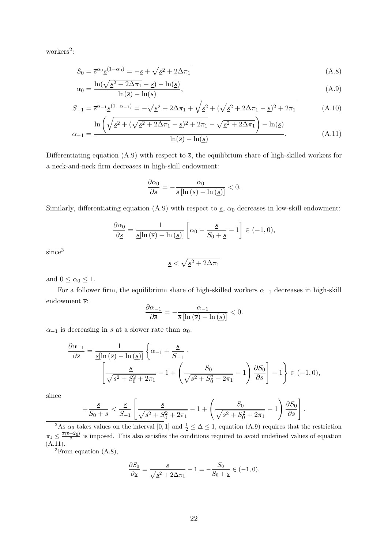workers<sup>[2](#page-0-0)</sup>:

$$
S_0 = \overline{s}^{\alpha_0} \underline{s}^{(1-\alpha_0)} = -\underline{s} + \sqrt{\underline{s}^2 + 2\Delta\pi_1}
$$
\n(A.8)

$$
\alpha_0 = \frac{\ln(\sqrt{s^2 + 2\Delta\pi_1} - s) - \ln(s)}{\ln(\bar{s}) - \ln(s)},
$$
\n(A.9)

$$
S_{-1} = \overline{s}^{\alpha_{-1}} \underline{s}^{(1-\alpha_{-1})} = -\sqrt{\underline{s}^2 + 2\Delta\pi_1} + \sqrt{\underline{s}^2 + (\sqrt{\underline{s}^2 + 2\Delta\pi_1} - \underline{s})^2 + 2\pi_1}
$$
(A.10)

$$
\alpha_{-1} = \frac{\ln\left(\sqrt{\underline{s}^2 + (\sqrt{\underline{s}^2 + 2\Delta\pi_1} - \underline{s})^2 + 2\pi_1} - \sqrt{\underline{s}^2 + 2\Delta\pi_1}\right) - \ln(\underline{s})}{\ln(\overline{s}) - \ln(\underline{s})}.
$$
(A.11)

Differentiating equation [\(A.9\)](#page-21-0) with respect to  $\bar{s}$ , the equilibrium share of high-skilled workers for a neck-and-neck firm decreases in high-skill endowment:

<span id="page-21-3"></span><span id="page-21-2"></span><span id="page-21-1"></span><span id="page-21-0"></span>
$$
\frac{\partial \alpha_0}{\partial \overline{s}} = -\frac{\alpha_0}{\overline{s} \left[ \ln \left( \overline{s} \right) - \ln \left( \underline{s} \right) \right]} < 0.
$$

Similarly, differentiating equation [\(A.9\)](#page-21-0) with respect to  $s$ ,  $\alpha_0$  decreases in low-skill endowment:

$$
\frac{\partial \alpha_0}{\partial \underline{s}} = \frac{1}{\underline{s}[\ln(\overline{s}) - \ln(\underline{s})]} \left[ \alpha_0 - \frac{\underline{s}}{S_0 + \underline{s}} - 1 \right] \in (-1, 0),
$$

since<sup>[3](#page-0-0)</sup>

$$
\underline{s} < \sqrt{\underline{s}^2 + 2\Delta\pi_1}
$$

and  $0 \leq \alpha_0 \leq 1$ .

For a follower firm, the equilibrium share of high-skilled workers  $\alpha_{-1}$  decreases in high-skill endowment  $\overline{s}$ :

$$
\frac{\partial \alpha_{-1}}{\partial \overline{s}} = -\frac{\alpha_{-1}}{\overline{s} \left[ \ln \left( \overline{s} \right) - \ln \left( \underline{s} \right) \right]} < 0.
$$

 $\alpha_{-1}$  is decreasing in <u>s</u> at a slower rate than  $\alpha_0$ :

$$
\frac{\partial \alpha_{-1}}{\partial \overline{s}} = \frac{1}{\underline{s}[\ln(\overline{s}) - \ln(\underline{s})]} \left\{ \alpha_{-1} + \frac{\underline{s}}{S_{-1}} \cdot \right\}
$$

$$
\left[ \frac{\underline{s}}{\sqrt{\underline{s}^2 + S_0^2 + 2\pi_1}} - 1 + \left( \frac{S_0}{\sqrt{\underline{s}^2 + S_0^2 + 2\pi_1}} - 1 \right) \frac{\partial S_0}{\partial \underline{s}} \right] - 1 \right\} \in (-1, 0),
$$

since

$$
-\frac{s}{S_0+s} < \frac{s}{S_{-1}} \left[ \frac{s}{\sqrt{s^2+S_0^2+2\pi_1}} -1 + \left( \frac{S_0}{\sqrt{s^2+S_0^2+2\pi_1}} -1 \right) \frac{\partial S_0}{\partial s} \right].
$$

<sup>2</sup>As  $\alpha_0$  takes values on the interval [0, 1] and  $\frac{1}{2} \leq \Delta \leq 1$ , equation [\(A.9\)](#page-21-0) requires that the restriction  $\pi_1 \leq \frac{\overline{s}(\overline{s}+2\underline{s})}{2}$  $\frac{+2s}{2}$  is imposed. This also satisfies the conditions required to avoid undefined values of equation  $(A.11).$  $(A.11).$ 

<sup>3</sup>From equation [\(A.8\)](#page-21-2),

$$
\frac{\partial S_0}{\partial \underline{s}} = \frac{\underline{s}}{\sqrt{\underline{s}^2 + 2\Delta \pi_1}} - 1 = -\frac{S_0}{S_0 + \underline{s}} \in (-1, 0).
$$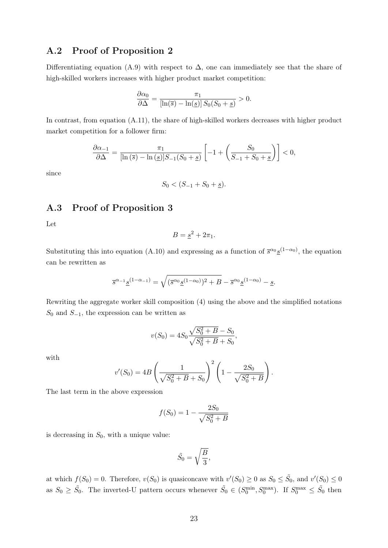### A.2 Proof of Proposition [2](#page-12-0)

Differentiating equation [\(A.9\)](#page-21-0) with respect to  $\Delta$ , one can immediately see that the share of high-skilled workers increases with higher product market competition:

$$
\frac{\partial \alpha_0}{\partial \Delta} = \frac{\pi_1}{[\ln(\overline{s}) - \ln(\underline{s})] S_0(S_0 + \underline{s})} > 0.
$$

In contrast, from equation [\(A.11\)](#page-21-1), the share of high-skilled workers decreases with higher product market competition for a follower firm:

$$
\frac{\partial \alpha_{-1}}{\partial \Delta} = \frac{\pi_1}{[\ln(\overline{s}) - \ln(\underline{s})]S_{-1}(S_0 + \underline{s})} \left[ -1 + \left( \frac{S_0}{S_{-1} + S_0 + \underline{s}} \right) \right] < 0,
$$

since

$$
S_0 < (S_{-1} + S_0 + \underline{s}).
$$

### A.3 Proof of Proposition [3](#page-13-0)

Let

$$
B = \underline{s}^2 + 2\pi_1.
$$

Substituting this into equation [\(A.10\)](#page-21-3) and expressing as a function of  $\bar{s}^{\alpha_0} \underline{s}^{(1-\alpha_0)}$ , the equation can be rewritten as

$$
\overline{s}^{\alpha_{-1}} \underline{s}^{(1-\alpha_{-1})} = \sqrt{(\overline{s}^{\alpha_{0}} \underline{s}^{(1-\alpha_{0})})^{2} + B} - \overline{s}^{\alpha_{0}} \underline{s}^{(1-\alpha_{0})} - \underline{s}.
$$

Rewriting the aggregate worker skill composition [\(4\)](#page-13-1) using the above and the simplified notations  $S_0$  and  $S_{-1}$ , the expression can be written as

$$
v(S_0) = 4S_0 \frac{\sqrt{S_0^2 + B} - S_0}{\sqrt{S_0^2 + B} + S_0},
$$

with

$$
v'(S_0) = 4B\left(\frac{1}{\sqrt{S_0^2 + B} + S_0}\right)^2 \left(1 - \frac{2S_0}{\sqrt{S_0^2 + B}}\right).
$$

The last term in the above expression

$$
f(S_0) = 1 - \frac{2S_0}{\sqrt{S_0^2 + B}}
$$

is decreasing in  $S_0$ , with a unique value:

$$
\tilde{S}_0 = \sqrt{\frac{B}{3}},
$$

at which  $f(S_0) = 0$ . Therefore,  $v(S_0)$  is quasiconcave with  $v'(S_0) \ge 0$  as  $S_0 \le \tilde{S}_0$ , and  $v'(S_0) \le 0$ as  $S_0 \geq \tilde{S}_0$ . The inverted-U pattern occurs whenever  $\tilde{S}_0 \in (S_0^{\min}, S_0^{\max})$ . If  $S_0^{\max} \leq \tilde{S}_0$  then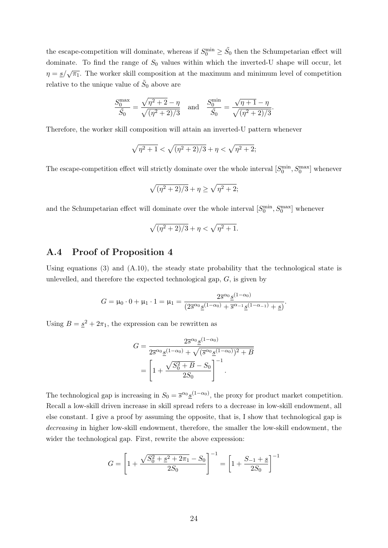the escape-competition will dominate, whereas if  $S_0^{\text{min}} \ge \tilde{S}_0$  then the Schumpetarian effect will dominate. To find the range of  $S_0$  values within which the inverted-U shape will occur, let  $\eta = \frac{s}{\sqrt{\pi_1}}$ . The worker skill composition at the maximum and minimum level of competition relative to the unique value of  $\tilde{S}_0$  above are

$$
\frac{S_0^{\max}}{\tilde{S}_0} = \frac{\sqrt{\eta^2 + 2} - \eta}{\sqrt{(\eta^2 + 2)/3}} \quad \text{and} \quad \frac{S_0^{\min}}{\tilde{S}_0} = \frac{\sqrt{\eta + 1} - \eta}{\sqrt{(\eta^2 + 2)/3}}.
$$

Therefore, the worker skill composition will attain an inverted-U pattern whenever

$$
\sqrt{\eta^2 + 1} < \sqrt{(\eta^2 + 2)/3} + \eta < \sqrt{\eta^2 + 2};
$$

The escape-competition effect will strictly dominate over the whole interval  $[S_0^{\text{min}}, S_0^{\text{max}}]$  whenever

$$
\sqrt{(\eta^2+2)/3}+\eta\geq\sqrt{\eta^2+2};
$$

and the Schumpetarian effect will dominate over the whole interval  $[S_0^{\text{min}}, S_0^{\text{max}}]$  whenever

$$
\sqrt{(\eta^2+2)/3}+\eta<\sqrt{\eta^2+1}.
$$

#### A.4 Proof of Proposition [4](#page-14-0)

Using equations  $(3)$  and  $(A.10)$ , the steady state probability that the technological state is unlevelled, and therefore the expected technological gap, G, is given by

$$
G = \mu_0 \cdot 0 + \mu_1 \cdot 1 = \mu_1 = \frac{2\overline{s}^{\alpha_0} \underline{s}^{(1-\alpha_0)}}{(2\overline{s}^{\alpha_0} \underline{s}^{(1-\alpha_0)} + \overline{s}^{\alpha-1} \underline{s}^{(1-\alpha-1)} + \underline{s})}.
$$

Using  $B = \underline{s}^2 + 2\pi_1$ , the expression can be rewritten as

$$
G = \frac{2\overline{s}^{\alpha_0} \underline{s}^{(1-\alpha_0)}}{2\overline{s}^{\alpha_0} \underline{s}^{(1-\alpha_0)} + \sqrt{(\overline{s}^{\alpha_0} \underline{s}^{(1-\alpha_0)})^2 + B}}
$$
  
= 
$$
\left[1 + \frac{\sqrt{S_0^2 + B} - S_0}{2S_0}\right]^{-1}.
$$

The technological gap is increasing in  $S_0 = \bar{s}^{\alpha_0} \underline{s}^{(1-\alpha_0)}$ , the proxy for product market competition. Recall a low-skill driven increase in skill spread refers to a decrease in low-skill endowment, all else constant. I give a proof by assuming the opposite, that is, I show that technological gap is decreasing in higher low-skill endowment, therefore, the smaller the low-skill endowment, the wider the technological gap. First, rewrite the above expression:

$$
G = \left[1 + \frac{\sqrt{S_0^2 + \underline{s}^2 + 2\pi_1} - S_0}{2S_0}\right]^{-1} = \left[1 + \frac{S_{-1} + \underline{s}}{2S_0}\right]^{-1}
$$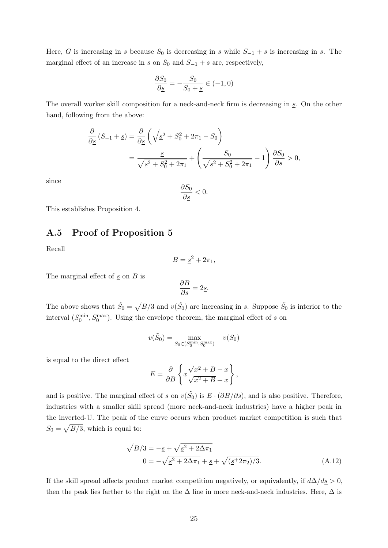Here, G is increasing in  $\underline{s}$  because  $S_0$  is decreasing in  $\underline{s}$  while  $S_{-1} + \underline{s}$  is increasing in  $\underline{s}$ . The marginal effect of an increase in  $\underline{s}$  on  $S_0$  and  $S_{-1} + \underline{s}$  are, respectively,

$$
\frac{\partial S_0}{\partial \underline{s}} = -\frac{S_0}{S_0 + \underline{s}} \in (-1, 0)
$$

The overall worker skill composition for a neck-and-neck firm is decreasing in  $s$ . On the other hand, following from the above:

$$
\frac{\partial}{\partial \underline{s}} \left( S_{-1} + \underline{s} \right) = \frac{\partial}{\partial \underline{s}} \left( \sqrt{\underline{s}^2 + S_0^2 + 2\pi_1} - S_0 \right)
$$

$$
= \frac{\underline{s}}{\sqrt{\underline{s}^2 + S_0^2 + 2\pi_1}} + \left( \frac{S_0}{\sqrt{\underline{s}^2 + S_0^2 + 2\pi_1}} - 1 \right) \frac{\partial S_0}{\partial \underline{s}} > 0,
$$

since

$$
\frac{\partial S_0}{\partial \underline{s}} < 0.
$$

This establishes Proposition [4.](#page-14-0)

### A.5 Proof of Proposition [5](#page-15-0)

Recall

$$
B = \underline{s}^2 + 2\pi_1,
$$

The marginal effect of  $\underline{s}$  on  $B$  is

$$
\frac{\partial B}{\partial \underline{s}} = 2\underline{s}.
$$

The above shows that  $\tilde{S}_0 = \sqrt{B/3}$  and  $v(\tilde{S}_0)$  are increasing in  $\underline{s}$ . Suppose  $\tilde{S}_0$  is interior to the interval  $(S_0^{\min}, S_0^{\max})$ . Using the envelope theorem, the marginal effect of  $\underline{s}$  on

$$
v(\tilde{S}_0) = \max_{S_0 \in (S_0^{\min}, S_0^{\max})} \quad v(S_0)
$$

is equal to the direct effect

<span id="page-24-0"></span>
$$
E = \frac{\partial}{\partial B} \left\{ x \frac{\sqrt{x^2 + B} - x}{\sqrt{x^2 + B} + x} \right\},\,
$$

and is positive. The marginal effect of  $\underline{s}$  on  $v(\tilde{S}_0)$  is  $E \cdot (\partial B/\partial \underline{s})$ , and is also positive. Therefore, industries with a smaller skill spread (more neck-and-neck industries) have a higher peak in the inverted-U. The peak of the curve occurs when product market competition is such that  $S_0 = \sqrt{B/3}$ , which is equal to:

$$
\sqrt{B/3} = -\underline{s} + \sqrt{\underline{s}^2 + 2\Delta\pi_1}
$$
  
\n
$$
0 = -\sqrt{\underline{s}^2 + 2\Delta\pi_1} + \underline{s} + \sqrt{(\underline{s}^2 + 2\pi_2)/3}.
$$
 (A.12)

If the skill spread affects product market competition negatively, or equivalently, if  $d\Delta/ds > 0$ , then the peak lies farther to the right on the  $\Delta$  line in more neck-and-neck industries. Here,  $\Delta$  is